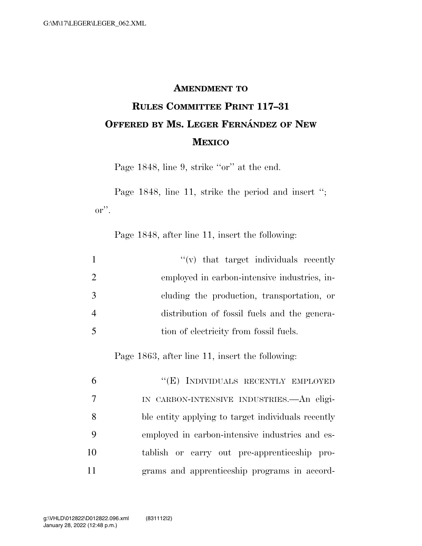## **AMENDMENT TO**

## **RULES COMMITTEE PRINT 117–31 OFFERED BY MS. LEGER FERNA´ NDEZ OF NEW MEXICO**

Page 1848, line 9, strike "or" at the end.

Page 1848, line 11, strike the period and insert "; or''.

Page 1848, after line 11, insert the following:

|                | $f'(v)$ that target individuals recently     |
|----------------|----------------------------------------------|
| 2              | employed in carbon-intensive industries, in- |
| 3              | cluding the production, transportation, or   |
| $\overline{4}$ | distribution of fossil fuels and the genera- |
|                | tion of electricity from fossil fuels.       |

Page 1863, after line 11, insert the following:

|                 | "(E) INDIVIDUALS RECENTLY EMPLOYED                 |
|-----------------|----------------------------------------------------|
| $7\overline{ }$ | IN CARBON-INTENSIVE INDUSTRIES. An eligi-          |
| 8               | ble entity applying to target individuals recently |
| - 9             | employed in carbon-intensive industries and es-    |
| 10              | tablish or carry out pre-apprenticeship pro-       |
| 11              | grams and apprenticeship programs in accord-       |